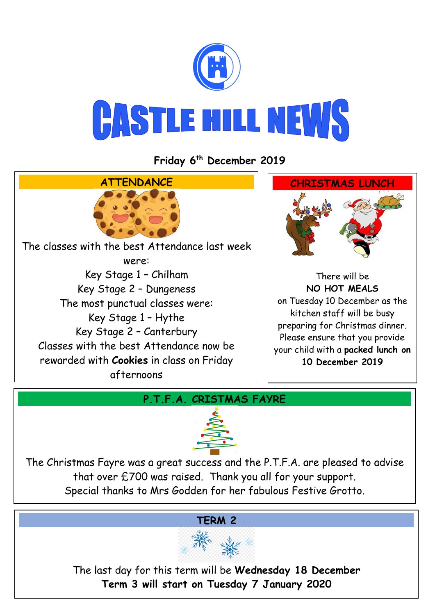

**Friday 6 th December 2019**



## **P.T.F.A. CRISTMAS FAYRE**



The Christmas Fayre was a great success and the P.T.F.A. are pleased to advise that over £700 was raised. Thank you all for your support. Special thanks to Mrs Godden for her fabulous Festive Grotto.

#### **TERM 2**



The last day for this term will be **Wednesday 18 December Term 3 will start on Tuesday 7 January 2020**